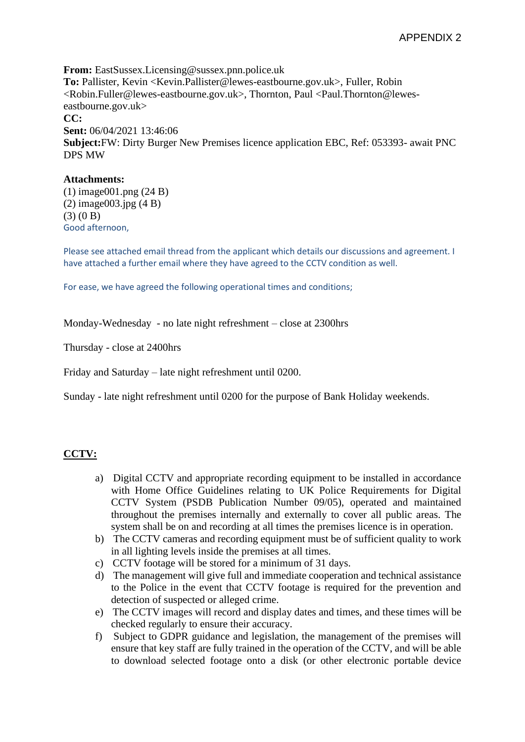**From:** EastSussex.Licensing@sussex.pnn.police.uk **To:** Pallister, Kevin <Kevin.Pallister@lewes-eastbourne.gov.uk>, Fuller, Robin <Robin.Fuller@lewes-eastbourne.gov.uk>, Thornton, Paul <Paul.Thornton@leweseastbourne.gov.uk> **CC: Sent:** 06/04/2021 13:46:06 **Subject:**FW: Dirty Burger New Premises licence application EBC, Ref: 053393- await PNC DPS MW

## **Attachments:**

(1) image001.png (24 B) (2) image003.jpg (4 B)  $(3) (0 B)$ Good afternoon,

Please see attached email thread from the applicant which details our discussions and agreement. I have attached a further email where they have agreed to the CCTV condition as well.

For ease, we have agreed the following operational times and conditions;

Monday-Wednesday - no late night refreshment – close at 2300hrs

Thursday - close at 2400hrs

Friday and Saturday – late night refreshment until 0200.

Sunday - late night refreshment until 0200 for the purpose of Bank Holiday weekends.

# **CCTV:**

- a) Digital CCTV and appropriate recording equipment to be installed in accordance with Home Office Guidelines relating to UK Police Requirements for Digital CCTV System (PSDB Publication Number 09/05), operated and maintained throughout the premises internally and externally to cover all public areas. The system shall be on and recording at all times the premises licence is in operation.
- b) The CCTV cameras and recording equipment must be of sufficient quality to work in all lighting levels inside the premises at all times.
- c) CCTV footage will be stored for a minimum of 31 days.
- d) The management will give full and immediate cooperation and technical assistance to the Police in the event that CCTV footage is required for the prevention and detection of suspected or alleged crime.
- e) The CCTV images will record and display dates and times, and these times will be checked regularly to ensure their accuracy.
- f) Subject to GDPR guidance and legislation, the management of the premises will ensure that key staff are fully trained in the operation of the CCTV, and will be able to download selected footage onto a disk (or other electronic portable device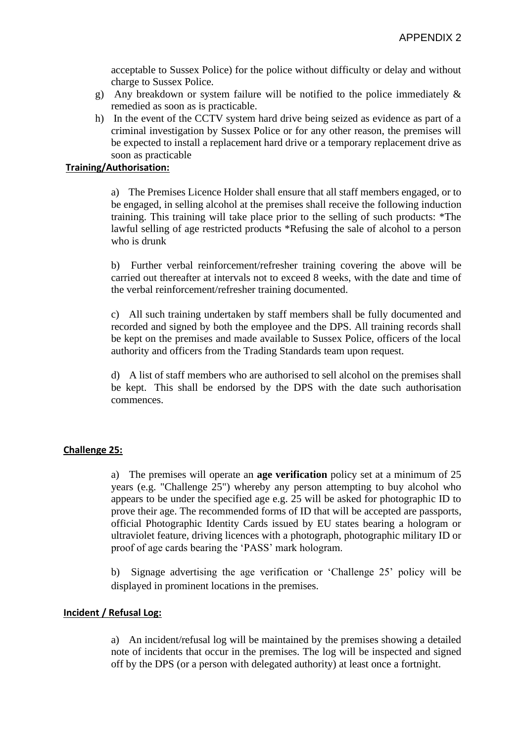acceptable to Sussex Police) for the police without difficulty or delay and without charge to Sussex Police.

- g) Any breakdown or system failure will be notified to the police immediately & remedied as soon as is practicable.
- h) In the event of the CCTV system hard drive being seized as evidence as part of a criminal investigation by Sussex Police or for any other reason, the premises will be expected to install a replacement hard drive or a temporary replacement drive as soon as practicable

# **Training/Authorisation:**

a) The Premises Licence Holder shall ensure that all staff members engaged, or to be engaged, in selling alcohol at the premises shall receive the following induction training. This training will take place prior to the selling of such products: \*The lawful selling of age restricted products \*Refusing the sale of alcohol to a person who is drunk

b) Further verbal reinforcement/refresher training covering the above will be carried out thereafter at intervals not to exceed 8 weeks, with the date and time of the verbal reinforcement/refresher training documented.

c) All such training undertaken by staff members shall be fully documented and recorded and signed by both the employee and the DPS. All training records shall be kept on the premises and made available to Sussex Police, officers of the local authority and officers from the Trading Standards team upon request.

d) A list of staff members who are authorised to sell alcohol on the premises shall be kept. This shall be endorsed by the DPS with the date such authorisation commences.

## **Challenge 25:**

a) The premises will operate an **age verification** policy set at a minimum of 25 years (e.g. "Challenge 25") whereby any person attempting to buy alcohol who appears to be under the specified age e.g. 25 will be asked for photographic ID to prove their age. The recommended forms of ID that will be accepted are passports, official Photographic Identity Cards issued by EU states bearing a hologram or ultraviolet feature, driving licences with a photograph, photographic military ID or proof of age cards bearing the 'PASS' mark hologram.

b) Signage advertising the age verification or 'Challenge 25' policy will be displayed in prominent locations in the premises.

## **Incident / Refusal Log:**

a) An incident/refusal log will be maintained by the premises showing a detailed note of incidents that occur in the premises. The log will be inspected and signed off by the DPS (or a person with delegated authority) at least once a fortnight.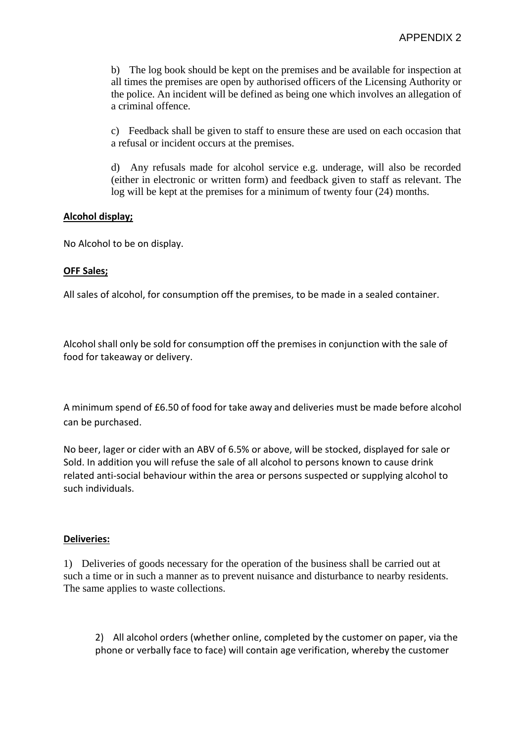b) The log book should be kept on the premises and be available for inspection at all times the premises are open by authorised officers of the Licensing Authority or the police. An incident will be defined as being one which involves an allegation of a criminal offence.

c) Feedback shall be given to staff to ensure these are used on each occasion that a refusal or incident occurs at the premises.

d) Any refusals made for alcohol service e.g. underage, will also be recorded (either in electronic or written form) and feedback given to staff as relevant. The log will be kept at the premises for a minimum of twenty four (24) months.

# **Alcohol display;**

No Alcohol to be on display.

# **OFF Sales;**

All sales of alcohol, for consumption off the premises, to be made in a sealed container.

Alcohol shall only be sold for consumption off the premises in conjunction with the sale of food for takeaway or delivery.

A minimum spend of £6.50 of food for take away and deliveries must be made before alcohol can be purchased.

No beer, lager or cider with an ABV of 6.5% or above, will be stocked, displayed for sale or Sold. In addition you will refuse the sale of all alcohol to persons known to cause drink related anti-social behaviour within the area or persons suspected or supplying alcohol to such individuals.

## **Deliveries:**

1) Deliveries of goods necessary for the operation of the business shall be carried out at such a time or in such a manner as to prevent nuisance and disturbance to nearby residents. The same applies to waste collections.

2) All alcohol orders (whether online, completed by the customer on paper, via the phone or verbally face to face) will contain age verification, whereby the customer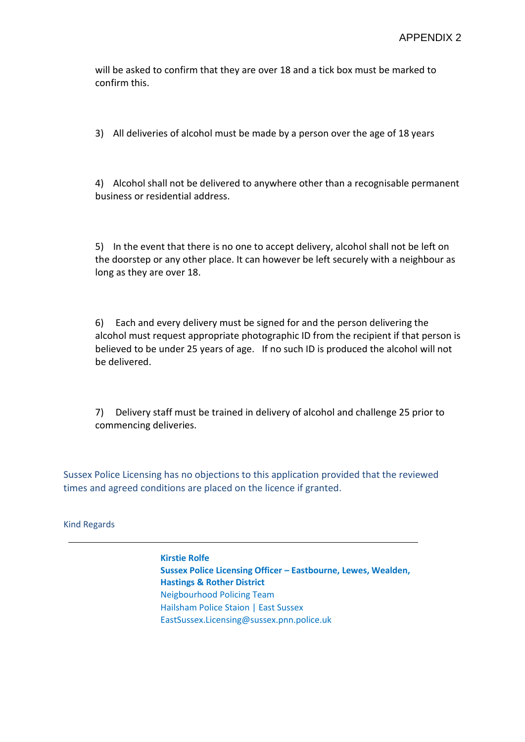will be asked to confirm that they are over 18 and a tick box must be marked to confirm this.

3) All deliveries of alcohol must be made by a person over the age of 18 years

4) Alcohol shall not be delivered to anywhere other than a recognisable permanent business or residential address.

5) In the event that there is no one to accept delivery, alcohol shall not be left on the doorstep or any other place. It can however be left securely with a neighbour as long as they are over 18.

6) Each and every delivery must be signed for and the person delivering the alcohol must request appropriate photographic ID from the recipient if that person is believed to be under 25 years of age. If no such ID is produced the alcohol will not be delivered.

7) Delivery staff must be trained in delivery of alcohol and challenge 25 prior to commencing deliveries.

Sussex Police Licensing has no objections to this application provided that the reviewed times and agreed conditions are placed on the licence if granted.

Kind Regards

**Kirstie Rolfe Sussex Police Licensing Officer – Eastbourne, Lewes, Wealden, Hastings & Rother District** Neigbourhood Policing Team Hailsham Police Staion | East Sussex EastSussex.Licensing@sussex.pnn.police.uk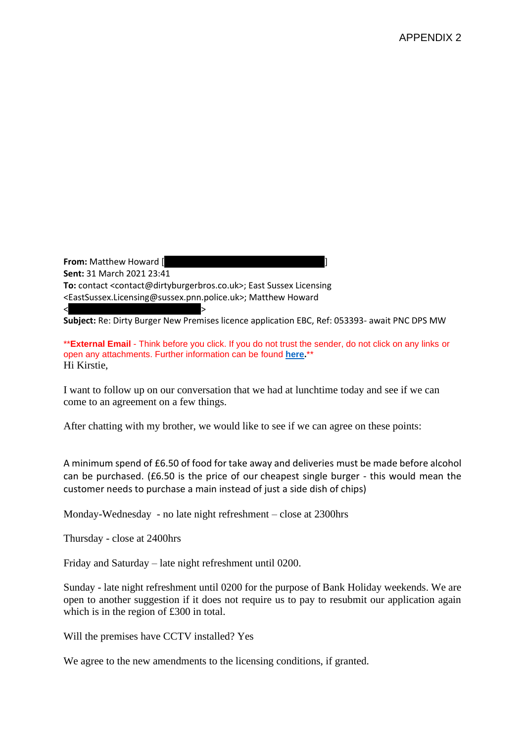**From:** Matthew Howard [ **Sent:** 31 March 2021 23:41 **To:** contact <contact@dirtyburgerbros.co.uk>; East Sussex Licensing <EastSussex.Licensing@sussex.pnn.police.uk>; Matthew Howard  $<$   $>$ 

**Subject:** Re: Dirty Burger New Premises licence application EBC, Ref: 053393- await PNC DPS MW

\*\***External Email** - Think before you click. If you do not trust the sender, do not click on any links or open any attachments. Further information can be found **[here.](http://jointintranet.shdc.police.uk/OurForces/Teams/ICT/Pages/sussex-20190513-spam-emails.aspx)**\*\* Hi Kirstie,

I want to follow up on our conversation that we had at lunchtime today and see if we can come to an agreement on a few things.

After chatting with my brother, we would like to see if we can agree on these points:

A minimum spend of £6.50 of food for take away and deliveries must be made before alcohol can be purchased. (£6.50 is the price of our cheapest single burger - this would mean the customer needs to purchase a main instead of just a side dish of chips)

Monday-Wednesday - no late night refreshment – close at 2300hrs

Thursday - close at 2400hrs

Friday and Saturday – late night refreshment until 0200.

Sunday - late night refreshment until 0200 for the purpose of Bank Holiday weekends. We are open to another suggestion if it does not require us to pay to resubmit our application again which is in the region of £300 in total.

Will the premises have CCTV installed? Yes

We agree to the new amendments to the licensing conditions, if granted.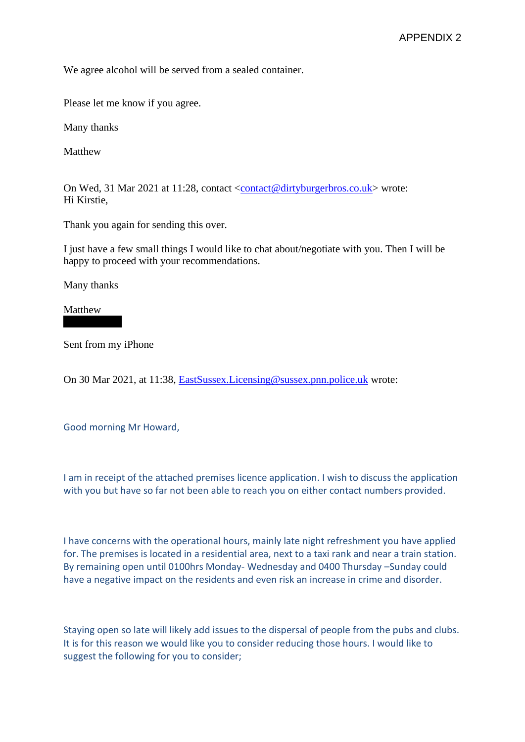We agree alcohol will be served from a sealed container.

Please let me know if you agree.

Many thanks

Matthew

On Wed, 31 Mar 2021 at 11:28, contact [<contact@dirtyburgerbros.co.uk>](mailto:contact@dirtyburgerbros.co.uk) wrote: Hi Kirstie,

Thank you again for sending this over.

I just have a few small things I would like to chat about/negotiate with you. Then I will be happy to proceed with your recommendations.

Many thanks

Matthew

Sent from my iPhone

On 30 Mar 2021, at 11:38, [EastSussex.Licensing@sussex.pnn.police.uk](mailto:EastSussex.Licensing@sussex.pnn.police.uk) wrote:

Good morning Mr Howard,

I am in receipt of the attached premises licence application. I wish to discuss the application with you but have so far not been able to reach you on either contact numbers provided.

I have concerns with the operational hours, mainly late night refreshment you have applied for. The premises is located in a residential area, next to a taxi rank and near a train station. By remaining open until 0100hrs Monday- Wednesday and 0400 Thursday –Sunday could have a negative impact on the residents and even risk an increase in crime and disorder.

Staying open so late will likely add issues to the dispersal of people from the pubs and clubs. It is for this reason we would like you to consider reducing those hours. I would like to suggest the following for you to consider;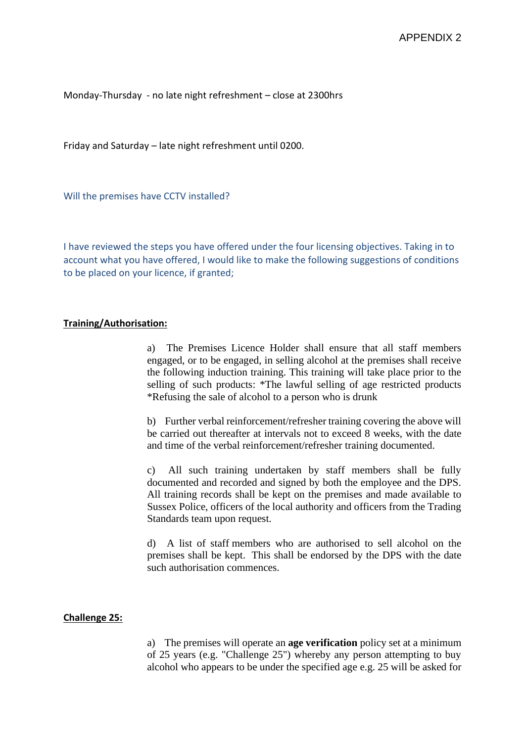Monday-Thursday - no late night refreshment – close at 2300hrs

Friday and Saturday – late night refreshment until 0200.

Will the premises have CCTV installed?

I have reviewed the steps you have offered under the four licensing objectives. Taking in to account what you have offered, I would like to make the following suggestions of conditions to be placed on your licence, if granted;

# **Training/Authorisation:**

a) The Premises Licence Holder shall ensure that all staff members engaged, or to be engaged, in selling alcohol at the premises shall receive the following induction training. This training will take place prior to the selling of such products: \*The lawful selling of age restricted products \*Refusing the sale of alcohol to a person who is drunk

b) Further verbal reinforcement/refresher training covering the above will be carried out thereafter at intervals not to exceed 8 weeks, with the date and time of the verbal reinforcement/refresher training documented.

c) All such training undertaken by staff members shall be fully documented and recorded and signed by both the employee and the DPS. All training records shall be kept on the premises and made available to Sussex Police, officers of the local authority and officers from the Trading Standards team upon request.

d) A list of staff members who are authorised to sell alcohol on the premises shall be kept. This shall be endorsed by the DPS with the date such authorisation commences.

### **Challenge 25:**

a) The premises will operate an **age verification** policy set at a minimum of 25 years (e.g. "Challenge 25") whereby any person attempting to buy alcohol who appears to be under the specified age e.g. 25 will be asked for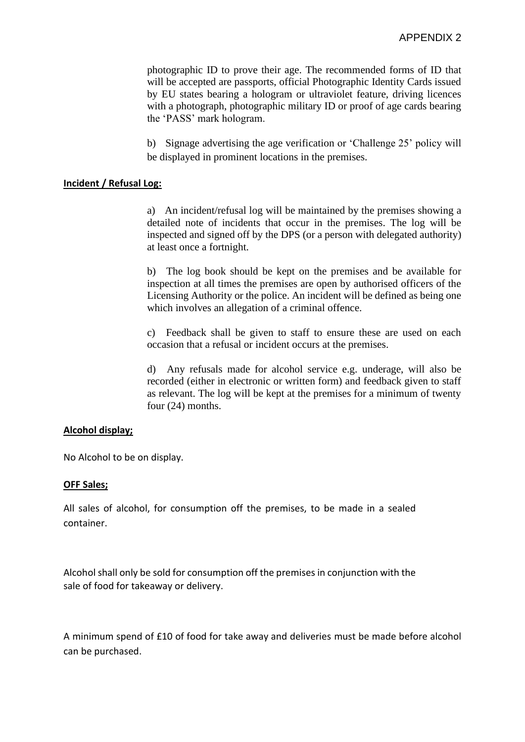photographic ID to prove their age. The recommended forms of ID that will be accepted are passports, official Photographic Identity Cards issued by EU states bearing a hologram or ultraviolet feature, driving licences with a photograph, photographic military ID or proof of age cards bearing the 'PASS' mark hologram.

b) Signage advertising the age verification or 'Challenge 25' policy will be displayed in prominent locations in the premises.

### **Incident / Refusal Log:**

a) An incident/refusal log will be maintained by the premises showing a detailed note of incidents that occur in the premises. The log will be inspected and signed off by the DPS (or a person with delegated authority) at least once a fortnight.

b) The log book should be kept on the premises and be available for inspection at all times the premises are open by authorised officers of the Licensing Authority or the police. An incident will be defined as being one which involves an allegation of a criminal offence.

c) Feedback shall be given to staff to ensure these are used on each occasion that a refusal or incident occurs at the premises.

d) Any refusals made for alcohol service e.g. underage, will also be recorded (either in electronic or written form) and feedback given to staff as relevant. The log will be kept at the premises for a minimum of twenty four (24) months.

### **Alcohol display;**

No Alcohol to be on display.

#### **OFF Sales;**

All sales of alcohol, for consumption off the premises, to be made in a sealed container.

Alcohol shall only be sold for consumption off the premises in conjunction with the sale of food for takeaway or delivery.

A minimum spend of £10 of food for take away and deliveries must be made before alcohol can be purchased.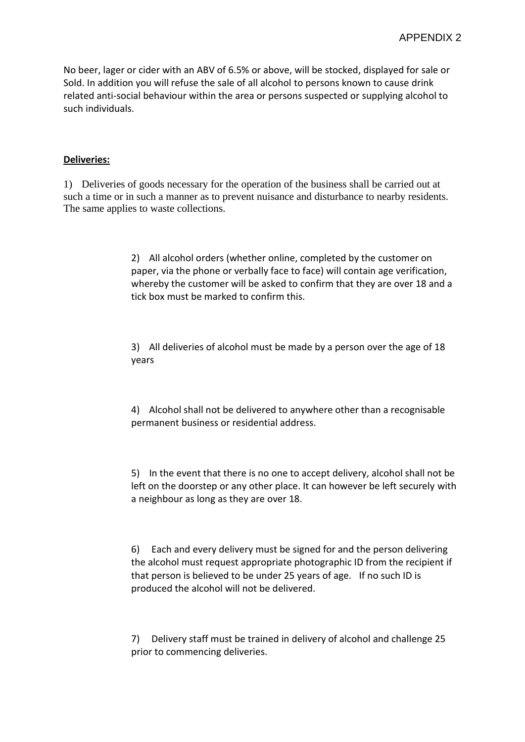No beer, lager or cider with an ABV of 6.5% or above, will be stocked, displayed for sale or Sold. In addition you will refuse the sale of all alcohol to persons known to cause drink related anti-social behaviour within the area or persons suspected or supplying alcohol to such individuals.

### **Deliveries:**

1) Deliveries of goods necessary for the operation of the business shall be carried out at such a time or in such a manner as to prevent nuisance and disturbance to nearby residents. The same applies to waste collections.

> 2) All alcohol orders (whether online, completed by the customer on paper, via the phone or verbally face to face) will contain age verification, whereby the customer will be asked to confirm that they are over 18 and a tick box must be marked to confirm this.

3) All deliveries of alcohol must be made by a person over the age of 18 years

4) Alcohol shall not be delivered to anywhere other than a recognisable permanent business or residential address.

5) In the event that there is no one to accept delivery, alcohol shall not be left on the doorstep or any other place. It can however be left securely with a neighbour as long as they are over 18.

6) Each and every delivery must be signed for and the person delivering the alcohol must request appropriate photographic ID from the recipient if that person is believed to be under 25 years of age. If no such ID is produced the alcohol will not be delivered.

7) Delivery staff must be trained in delivery of alcohol and challenge 25 prior to commencing deliveries.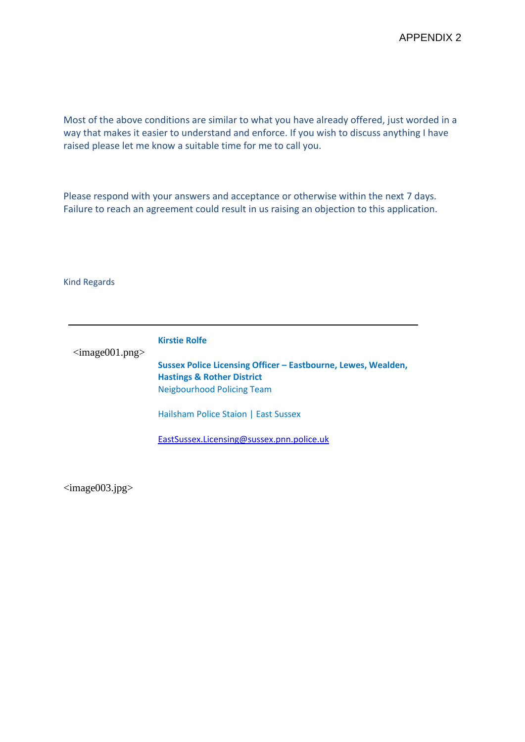Most of the above conditions are similar to what you have already offered, just worded in a way that makes it easier to understand and enforce. If you wish to discuss anything I have raised please let me know a suitable time for me to call you.

Please respond with your answers and acceptance or otherwise within the next 7 days. Failure to reach an agreement could result in us raising an objection to this application.

#### Kind Regards

<image001.png> **Kirstie Rolfe Sussex Police Licensing Officer – Eastbourne, Lewes, Wealden, Hastings & Rother District** Neigbourhood Policing Team Hailsham Police Staion | East Sussex [EastSussex.Licensing@sussex.pnn.police.uk](mailto:EastSussex.Licensing@sussex.pnn.police.uk)

 $\langle \text{image}003.\text{ips} \rangle$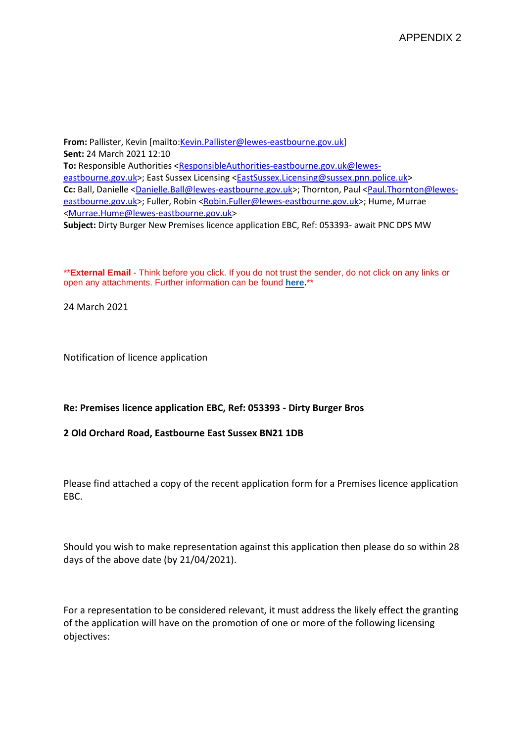**From:** Pallister, Kevin [mailto[:Kevin.Pallister@lewes-eastbourne.gov.uk\]](mailto:Kevin.Pallister@lewes-eastbourne.gov.uk) **Sent:** 24 March 2021 12:10 **To:** Responsible Authorities [<ResponsibleAuthorities-eastbourne.gov.uk@lewes](mailto:ResponsibleAuthorities-eastbourne.gov.uk@lewes-eastbourne.gov.uk)[eastbourne.gov.uk>](mailto:ResponsibleAuthorities-eastbourne.gov.uk@lewes-eastbourne.gov.uk); East Sussex Licensing [<EastSussex.Licensing@sussex.pnn.police.uk>](mailto:EastSussex.Licensing@sussex.pnn.police.uk) **Cc:** Ball, Danielle [<Danielle.Ball@lewes-eastbourne.gov.uk>](mailto:Danielle.Ball@lewes-eastbourne.gov.uk); Thornton, Paul [<Paul.Thornton@lewes](mailto:Paul.Thornton@lewes-eastbourne.gov.uk)[eastbourne.gov.uk>](mailto:Paul.Thornton@lewes-eastbourne.gov.uk); Fuller, Robin [<Robin.Fuller@lewes-eastbourne.gov.uk>](mailto:Robin.Fuller@lewes-eastbourne.gov.uk); Hume, Murrae [<Murrae.Hume@lewes-eastbourne.gov.uk>](mailto:Murrae.Hume@lewes-eastbourne.gov.uk) **Subject:** Dirty Burger New Premises licence application EBC, Ref: 053393- await PNC DPS MW

\*\***External Email** - Think before you click. If you do not trust the sender, do not click on any links or open any attachments. Further information can be found **[here.](http://jointintranet.shdc.police.uk/OurForces/Teams/ICT/Pages/sussex-20190513-spam-emails.aspx)**\*\*

24 March 2021

Notification of licence application

**Re: Premises licence application EBC, Ref: 053393 - Dirty Burger Bros**

### **2 Old Orchard Road, Eastbourne East Sussex BN21 1DB**

Please find attached a copy of the recent application form for a Premises licence application EBC.

Should you wish to make representation against this application then please do so within 28 days of the above date (by 21/04/2021).

For a representation to be considered relevant, it must address the likely effect the granting of the application will have on the promotion of one or more of the following licensing objectives: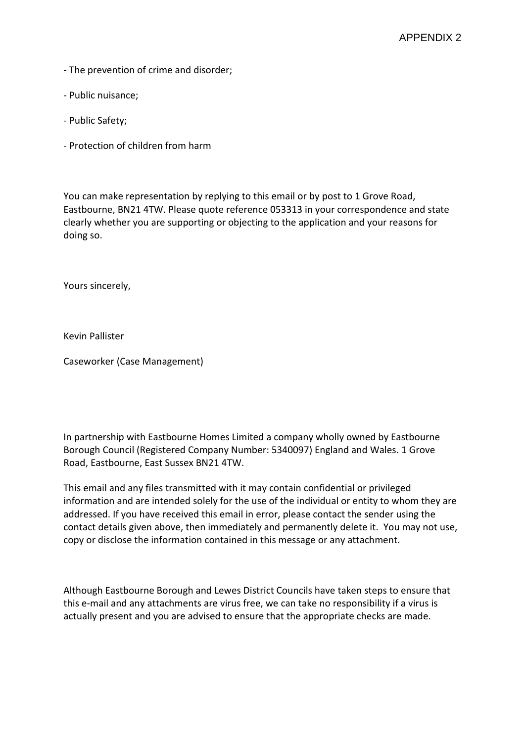- The prevention of crime and disorder;
- Public nuisance;
- Public Safety;
- Protection of children from harm

You can make representation by replying to this email or by post to 1 Grove Road, Eastbourne, BN21 4TW. Please quote reference 053313 in your correspondence and state clearly whether you are supporting or objecting to the application and your reasons for doing so.

Yours sincerely,

Kevin Pallister

Caseworker (Case Management)

In partnership with Eastbourne Homes Limited a company wholly owned by Eastbourne Borough Council (Registered Company Number: 5340097) England and Wales. 1 Grove Road, Eastbourne, East Sussex BN21 4TW.

This email and any files transmitted with it may contain confidential or privileged information and are intended solely for the use of the individual or entity to whom they are addressed. If you have received this email in error, please contact the sender using the contact details given above, then immediately and permanently delete it. You may not use, copy or disclose the information contained in this message or any attachment.

Although Eastbourne Borough and Lewes District Councils have taken steps to ensure that this e-mail and any attachments are virus free, we can take no responsibility if a virus is actually present and you are advised to ensure that the appropriate checks are made.